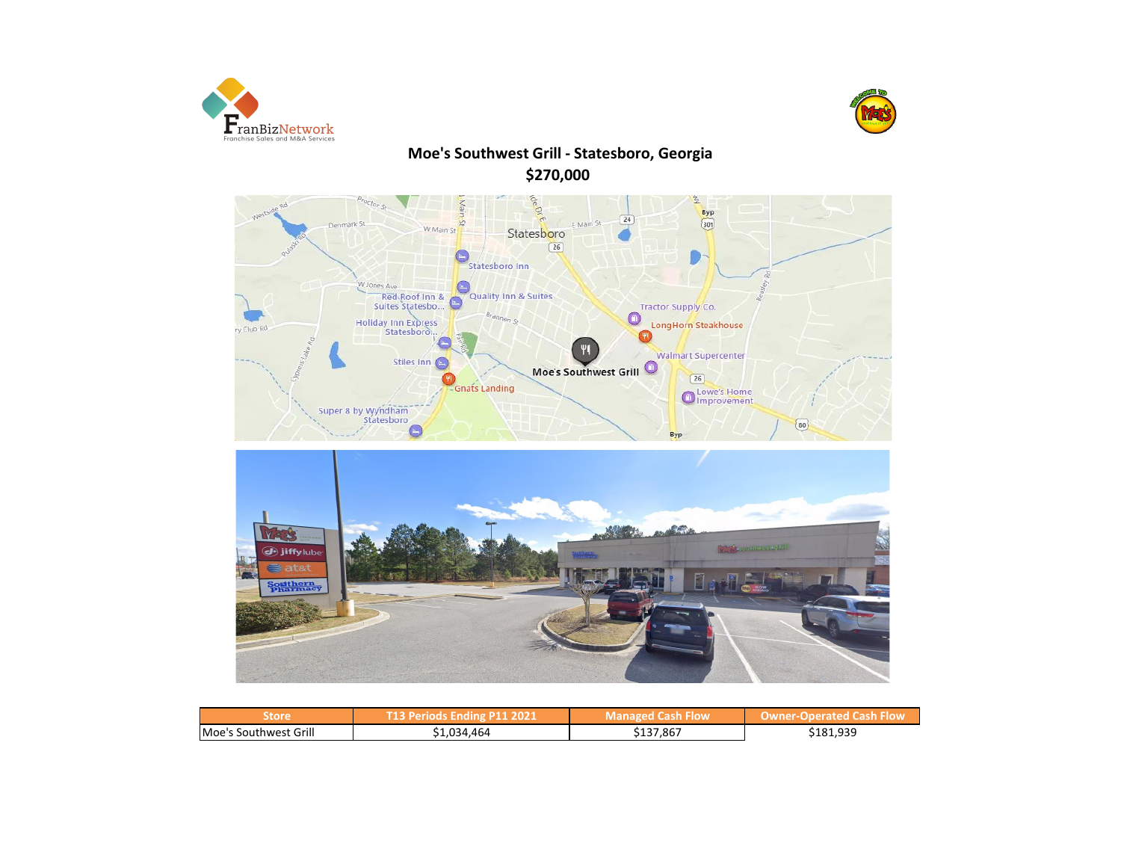



# **Moe's Southwest Grill - Statesboro, Georgia \$270,000**





| Store                 | T13 Periods Ending P11 2021 | <b>Managed Cash Flow</b> | <b>Owner-Operated Cash Flow</b> |
|-----------------------|-----------------------------|--------------------------|---------------------------------|
| Moe's Southwest Grill | 1,034,464 د                 | 137,867ذ                 | \$181,939                       |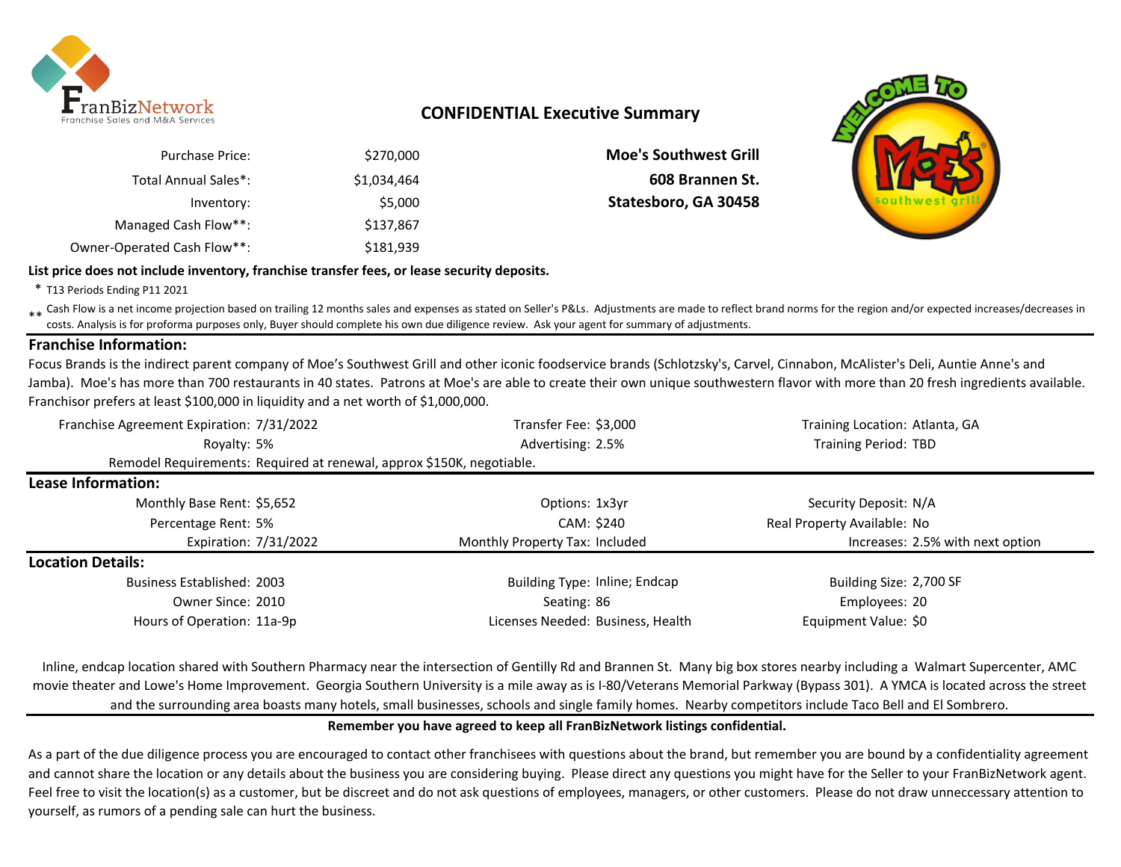

## **CONFIDENTIAL Executive Summary**

| \$270,000   | <b>Purchase Price:</b>      |
|-------------|-----------------------------|
| \$1,034,464 | Total Annual Sales*:        |
| \$5,000     | Inventory:                  |
| \$137,867   | Managed Cash Flow**:        |
| \$181,939   | Owner-Operated Cash Flow**: |

**Moe's Southwest Grill** \$1,034,464 **608 Brannen St.** Statesboro, GA 30458



**List price does not include inventory, franchise transfer fees, or lease security deposits.**

\* T13 Periods Ending P11 2021

\*\* Cash Flow is a net income projection based on trailing 12 months sales and expenses as stated on Seller's P&Ls. Adjustments are made to reflect brand norms for the region and/or expected increases/decreases in costs. Analysis is for proforma purposes only, Buyer should complete his own due diligence review. Ask your agent for summary of adjustments.

### **Franchise Information:**

Focus Brands is the indirect parent company of Moe's Southwest Grill and other iconic foodservice brands (Schlotzsky's, Carvel, Cinnabon, McAlister's Deli, Auntie Anne's and Jamba). Moe's has more than 700 restaurants in 40 states. Patrons at Moe's are able to create their own unique southwestern flavor with more than 20 fresh ingredients available. Franchisor prefers at least \$100,000 in liquidity and a net worth of \$1,000,000.

| Franchise Agreement Expiration: 7/31/2022 | Transfer Fee: \$3,000                                                 | Training Location: Atlanta, GA   |
|-------------------------------------------|-----------------------------------------------------------------------|----------------------------------|
| Royalty: 5%                               | Advertising: 2.5%                                                     | <b>Training Period: TBD</b>      |
|                                           | Remodel Requirements: Required at renewal, approx \$150K, negotiable. |                                  |
| Lease Information:                        |                                                                       |                                  |
| Monthly Base Rent: \$5,652                | Options: 1x3yr                                                        | Security Deposit: N/A            |
| Percentage Rent: 5%                       | CAM: \$240                                                            | Real Property Available: No      |
| Expiration: 7/31/2022                     | Monthly Property Tax: Included                                        | Increases: 2.5% with next option |
| <b>Location Details:</b>                  |                                                                       |                                  |
| <b>Business Established: 2003</b>         | <b>Building Type: Inline; Endcap</b>                                  | Building Size: 2,700 SF          |
| Owner Since: 2010                         | Seating: 86                                                           | Employees: 20                    |
| Hours of Operation: 11a-9p                | Licenses Needed: Business, Health                                     | Equipment Value: \$0             |

Inline, endcap location shared with Southern Pharmacy near the intersection of Gentilly Rd and Brannen St. Many big box stores nearby including a Walmart Supercenter, AMC movie theater and Lowe's Home Improvement. Georgia Southern University is a mile away as is I-80/Veterans Memorial Parkway (Bypass 301). A YMCA is located across the street and the surrounding area boasts many hotels, small businesses, schools and single family homes. Nearby competitors include Taco Bell and El Sombrero.

**Remember you have agreed to keep all FranBizNetwork listings confidential.** 

As a part of the due diligence process you are encouraged to contact other franchisees with questions about the brand, but remember you are bound by a confidentiality agreement and cannot share the location or any details about the business you are considering buying. Please direct any questions you might have for the Seller to your FranBizNetwork agent. Feel free to visit the location(s) as a customer, but be discreet and do not ask questions of employees, managers, or other customers. Please do not draw unneccessary attention to yourself, as rumors of a pending sale can hurt the business.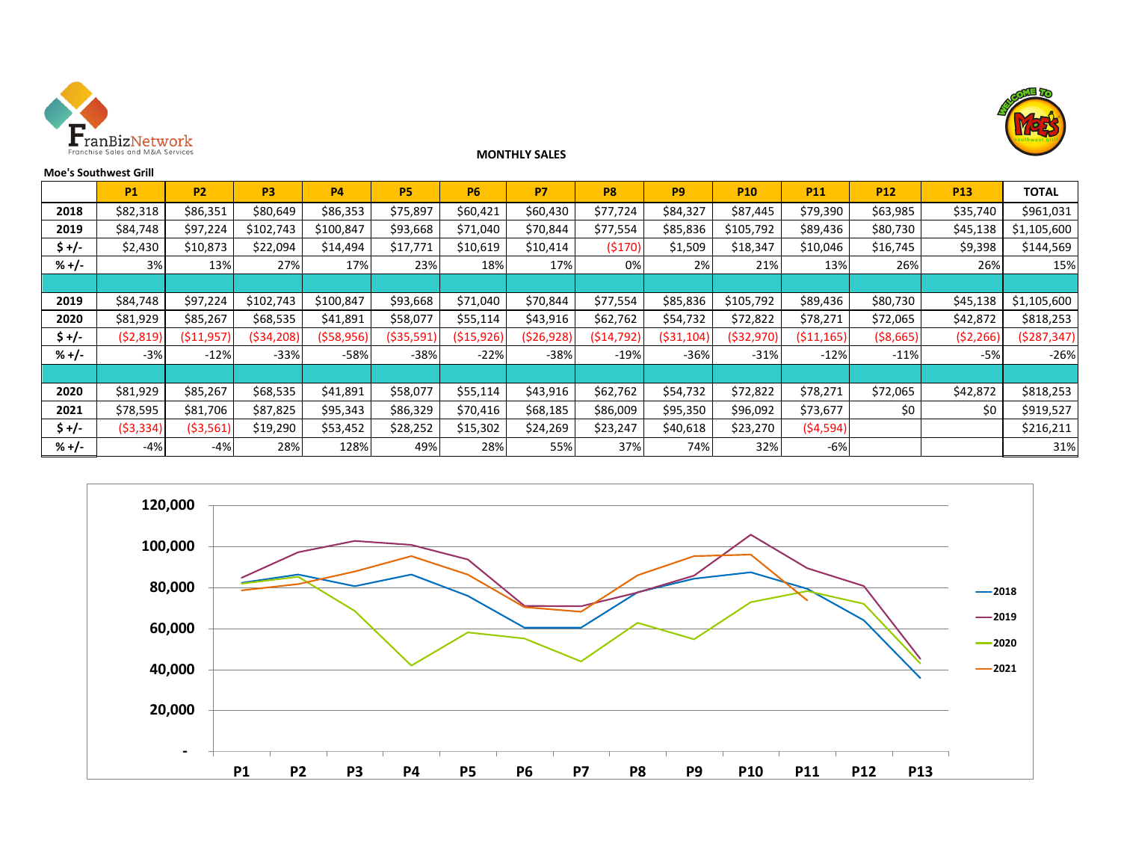



#### **Moe's Southwest Grill**

# **P1 P2 P3 P4 P5 P6 P7 P8 P9 P10 P11 P12 P13 TOTAL 2018** \$82,318 \$86,351 \$80,649 \$86,353 \$75,897 \$60,421 \$60,430 \$77,724 \$84,327 \$87,445 \$79,390 \$63,985 \$35,740 \$961,031 **2019** | \$84,748| \$97,224| \$102,743| \$100,847| \$93,668| \$71,040| \$70,844| \$77,554| \$85,836| \$105,792| \$89,436| \$80,730| \$45,138|\$1,105,600 **\$+/-** | \$2,430 | \$10,873 | \$22,094 | \$14,494 | \$17,771 | \$10,619 | \$10,414 | (\$170)| \$1,509 | \$18,347 | \$10,046 | \$16,745 | \$9,398 | \$144,569 **% +/-** 3% 13% 27% 17% 23% 18% 17% 0% 2% 21% 13% 26% 26% 15% **2019** | \$84,748| \$97,224| \$102,743| \$100,847| \$93,668| \$71,040| \$70,844| \$77,554| \$85,836| \$105,792| \$89,436| \$80,730| \$45,138|\$1,105,600 **2020** | \$81,929| \$85,267| \$68,535| \$41,891| \$58,077| \$55,114| \$43,916| \$62,762| \$54,732| \$72,822| \$78,271| \$72,065| \$42,872| \$818,253 **\$ +/-** (\$2,819) (\$11,957) (\$34,208) (\$58,956) (\$35,591) (\$15,926) (\$26,928) (\$14,792) (\$31,104) (\$32,970) (\$11,165) (\$8,665) (\$2,266) (\$287,347) **% +/-** -3% -12% -33% -58% -38% -22% -38% -19% -36% -31% -12% -11% -5% -26% **2020** | \$81,929| \$85,267| \$68,535| \$41,891| \$58,077| \$55,114| \$43,916| \$62,762| \$54,732| \$72,822| \$78,271| \$72,065| \$42,872| \$818,253 **2021** | \$78,595 | \$81,706 | \$87,825 | \$95,343 | \$86,329 | \$70,416 | \$68,185 | \$86,009 | \$95,350 | \$96,092 | \$73,677 | \$0 | \$0 | \$0 | \$919,527 **\$ +/- | (**\$3,334)| (\$3,561)| \$19,290 | \$53,452 | \$28,252 | \$15,302 | \$24,269 | \$23,247 | \$40,618 | \$23,270 | **(**\$4,594)| | \$216,211 **% +/- | -4%| -4%| 28%| 128%| 49%| 28%| 55%| 37%| 74%| 32%| -6%| | | | 31%**

**MONTHLY SALES**